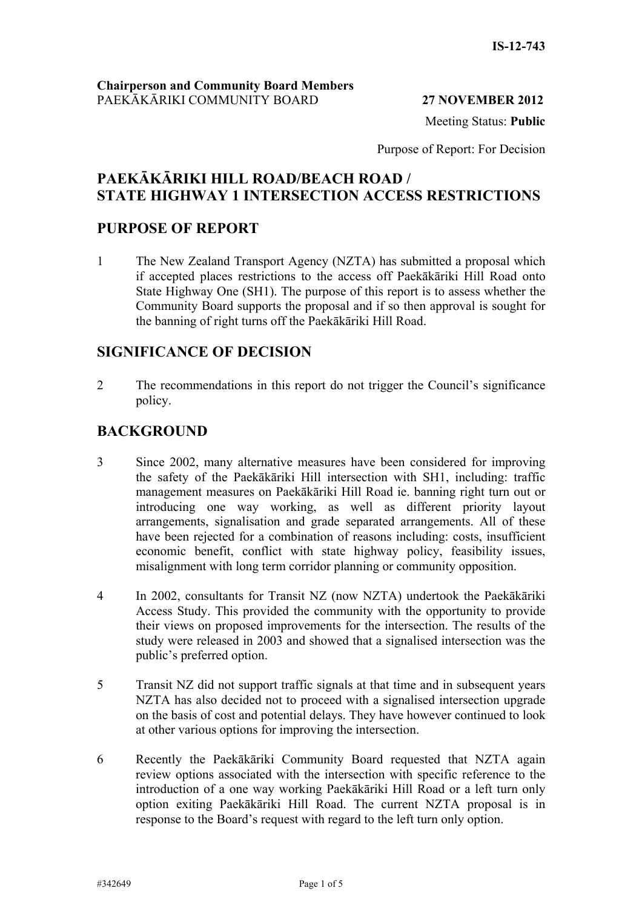#### **27 NOVEM**

Meeting Status: **Public**

Purpose of Report: For Decision

# **STATE HIGHWAY 1 INTERSECTION ACCESS RESTRICTIONS PAEKĀKĀRIKI HILL ROAD/BEACH ROAD /**

### **PURPOSE OF REPORT**

1 The New Zealand Transport Agency (NZTA) has submitted a proposal which if accepted places restrictions to the access off Paekākāriki Hill Road onto State Highway One (SH1). The purpose of this report is to assess whether the Community Board supports the proposal and if so then approval is sought for the banning of right turns off the Paekākāriki Hill Road.

### **SIGNIFICANCE OF DECISION**

2 The recommendations in this report do not trigger the Council's significance policy.

# **BACKGROUND**

- 3 Since 2002, many alternative measures have been considered for improving the safety of the Paekākāriki Hill intersection with SH1, including: traffic management measures on Paekākāriki Hill Road ie. banning right turn out or introducing one way working, as well as different priority layout arrangements, signalisation and grade separated arrangements. All of these have been rejected for a combination of reasons including: costs, insufficient economic benefit, conflict with state highway policy, feasibility issues, misalignment with long term corridor planning or community opposition.
- 4 In 2002, consultants for Transit NZ (now NZTA) undertook the Paekākāriki Access Study. This provided the community with the opportunity to provide their views on proposed improvements for the intersection. The results of the study were released in 2003 and showed that a signalised intersection was the public's preferred option.
- 5 Transit NZ did not support traffic signals at that time and in subsequent years NZTA has also decided not to proceed with a signalised intersection upgrade on the basis of cost and potential delays. They have however continued to look at other various options for improving the intersection.
- 6 Recently the Paekākāriki Community Board requested that NZTA again review options associated with the intersection with specific reference to the introduction of a one way working Paekākāriki Hill Road or a left turn only option exiting Paekākāriki Hill Road. The current NZTA proposal is in response to the Board's request with regard to the left turn only option.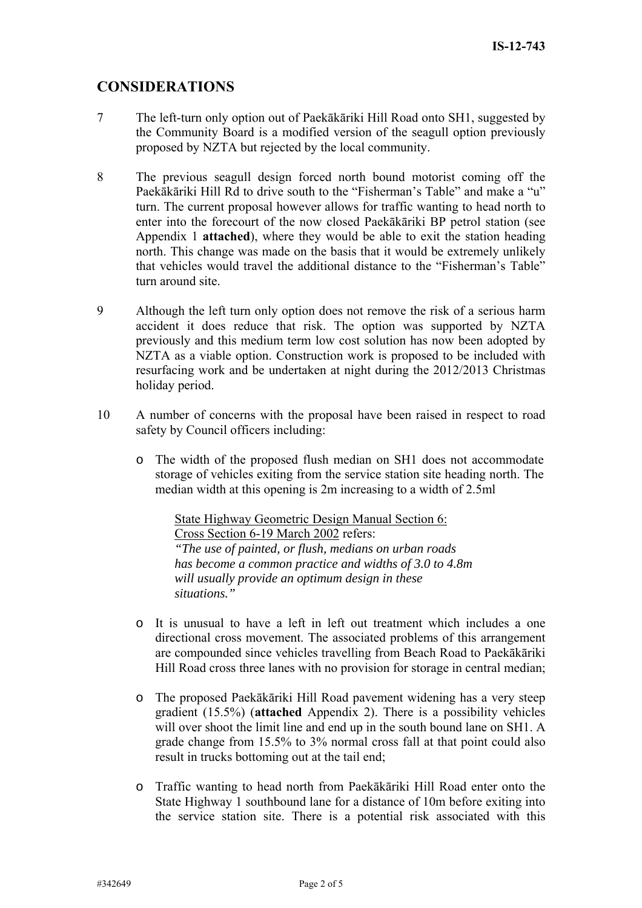# **CONSIDERATIONS**

- 7 The left-turn only option out of Paekākāriki Hill Road onto SH1, suggested by the Community Board is a modified version of the seagull option previously proposed by NZTA but rejected by the local community.
- Paekākāriki Hill Rd to drive south to the "Fisherman's Table" and make a "u" turn. The current proposal however allows for traffic wanting to head north to enter into the forecourt of the now closed Paekākāriki BP petrol station (see Appendix 1 attached), where they would be able to exit the station heading north. This change was made on the basis that it would be extremely unlikely 8 The previous seagull design forced north bound motorist coming off the that vehicles would travel the additional distance to the "Fisherman's Table" turn around site.
- 9 Although the left turn only option does not remove the risk of a serious harm accident it does reduce that risk. The option was supported by NZTA previously and this medium term low cost solution has now been adopted by NZTA as a viable option. Construction work is proposed to be included with resurfacing work and be undertaken at night during the 2012/2013 Christmas holiday period.
- 10 A number of concerns with the proposal have been raised in respect to road safety by Council officers including:
	- o The width of the proposed flush median on SH1 does not accommodate storage of vehicles exiting from the service station site heading north. The median width at this opening is 2m increasing to a width of 2.5ml

State Highway Geometric Design Manual Section 6: Cross Section 6-19 March 2002 refers: *"The use of painted, or flush, medians on urban roads has become a common practice and widths of 3.0 to 4.8m will usually provide an optimum design in these situations."*

- o It is unusual to have a left in left out treatment which includes a one directional cross movement. The associated problems of this arrangement are compounded since vehicles travelling from Beach Road to Paekākāriki Hill Road cross three lanes with no provision for storage in central median;
- o The proposed Paekākāriki Hill Road pavement widening has a very steep gradient (15.5%) (**attached** Appendix 2). There is a possibility vehicles will over shoot the limit line and end up in the south bound lane on SH1. A grade change from 15.5% to 3% normal cross fall at that point could also result in trucks bottoming out at the tail end;
- o Traffic wanting to head north from Paekākāriki Hill Road enter onto the State Highway 1 southbound lane for a distance of 10m before exiting into the service station site. There is a potential risk associated with this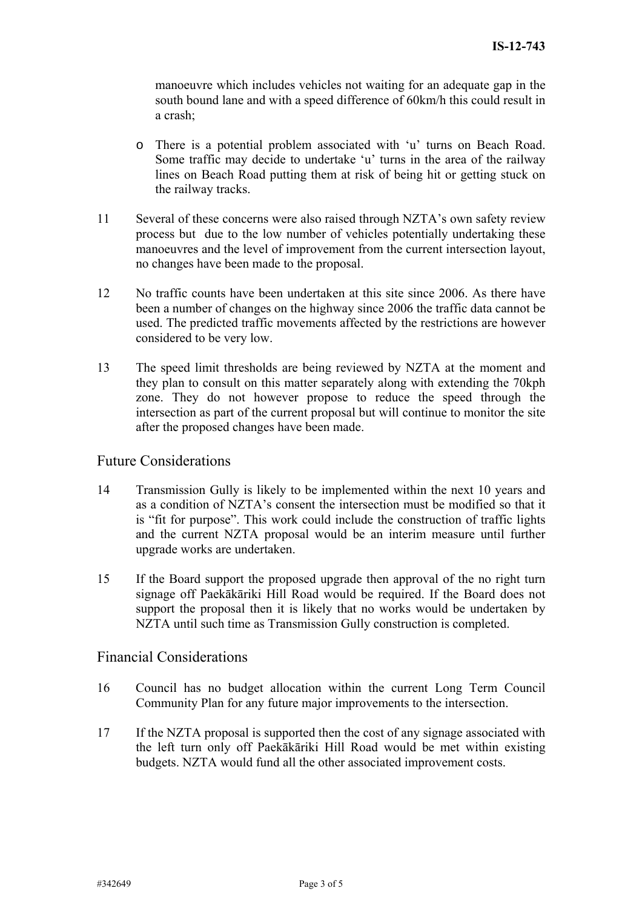manoeuvre which includes vehicles not waiting for an adequate gap in the south bound lane and with a speed difference of 60km/h this could result in a crash;

- o There is a potential problem associated with 'u' turns on Beach Road. Some traffic may decide to undertake 'u' turns in the area of the railway lines on Beach Road putting them at risk of being hit or getting stuck on the railway tracks.
- 11 Several of these concerns were also raised through NZTA's own safety review process but due to the low number of vehicles potentially undertaking these manoeuvres and the level of improvement from the current intersection layout, no changes have been made to the proposal.
- 12 No traffic counts have been undertaken at this site since 2006. As there have used. The predicted traffic movements affected by the restrictions are however been a number of changes on the highway since 2006 the traffic data cannot be considered to be very low.
- 13 The speed limit thresholds are being reviewed by NZTA at the moment and they plan to consult on this matter separately along with extending the 70kph intersection as part of the current proposal but will continue to monitor the site zone. They do not however propose to reduce the speed through the after the proposed changes have been made.

### Future Considerations

- 14 Transmission Gully is likely to be implemented within the next 10 years and is "fit for purpose". This work could include the construction of traffic lights and the current NZTA proposal would be an interim measure until further as a condition of NZTA's consent the intersection must be modified so that it upgrade works are undertaken.
- 15 If the Board support the proposed upgrade then approval of the no right turn signage off Paekākāriki Hill Road would be required. If the Board does not support the proposal then it is likely that no works would be undertaken by NZTA until such time as Transmission Gully construction is completed.

### Financial Considerations

- 16 Council has no budget allocation within the current Long Term Council Community Plan for any future major improvements to the intersection.
- 17 If the NZTA proposal is supported then the cost of any signage associated with the left turn only off Paekākāriki Hill Road would be met within existing budgets. NZTA would fund all the other associated improvement costs.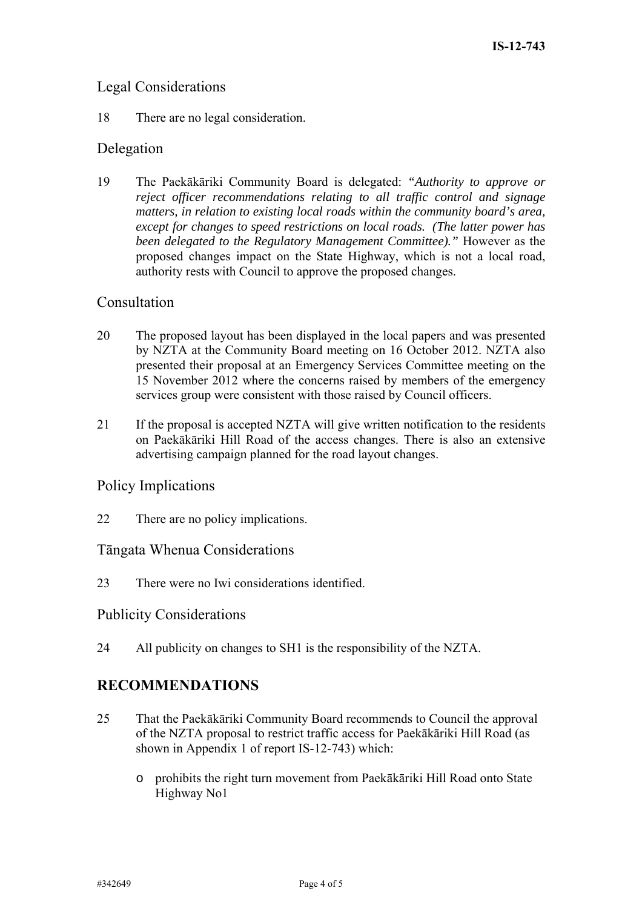# Legal Considerations

18 There are no legal consideration.

## Delegation

19 The Paekākāriki Community Board is delegated: "Authority to approve or reject officer recommendations relating to all traffic control and signage matters, in relation to existing local roads within the community board's area, except for changes to speed restrictions on local roads. (The latter power has been delegated to the Regulatory Management Committee)." However as the proposed changes impact on the State Highway, which is not a local road, authority rests with Council to approve the proposed changes.

### Consultation

- 20 The proposed layout has been displayed in the local papers and was presented by NZTA at the Community Board meeting on 16 October 2012. NZTA also presented their proposal at an Emergency Services Committee meeting on the 15 November 2012 where the concerns raised by members of the emergency services group were consistent with those raised by Council officers.
- 21 If the proposal is accepted NZTA will give written notification to the residents on Paekākāriki Hill Road of the access changes. There is also an extensive advertising campaign planned for the road layout changes.

## Policy Implications

22 There are no policy implications.

### Tāngata Whenua Considerations

23 There were no Iwi considerations identified.

### **Publicity Considerations**

. 24 All publicity on changes to SH1 is the responsibility of the NZTA

## **RECOMMENDATIONS**

- hat the Paekākāriki Community Board recommends to Council the approval of the NZTA proposal to restrict traffic access for Paekākāriki Hill Road (as shown in Appendix 1 of report IS-12-743) which:  $25$ 
	- o prohibits the right turn movement from Paekākāriki Hill Road onto State Highway No1